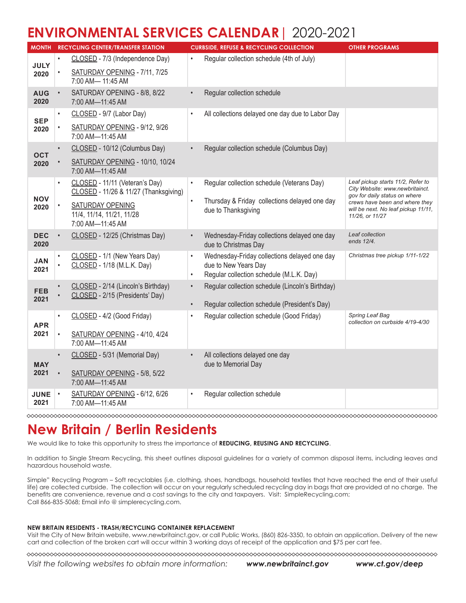# **ENVIRONMENTAL SERVICES CALENDAR**| 2020-2021

| CLOSED - 7/3 (Independence Day)<br>Regular collection schedule (4th of July)<br><b>JULY</b><br>SATURDAY OPENING - 7/11, 7/25<br>2020<br>7:00 AM- 11:45 AM<br>SATURDAY OPENING - 8/8, 8/22<br>Regular collection schedule<br><b>AUG</b><br>$\bullet$<br>2020<br>7:00 AM-11:45 AM<br>All collections delayed one day due to Labor Day<br>CLOSED - 9/7 (Labor Day)<br>$\bullet$<br>$\bullet$<br><b>SEP</b><br>SATURDAY OPENING - 9/12, 9/26<br>2020<br>7:00 AM-11:45 AM<br>CLOSED - 10/12 (Columbus Day)<br>Regular collection schedule (Columbus Day)<br><b>OCT</b><br>SATURDAY OPENING - 10/10, 10/24<br>2020<br>7:00 AM-11:45 AM<br>Leaf pickup starts 11/2, Refer to<br>CLOSED - 11/11 (Veteran's Day)<br>Regular collection schedule (Veterans Day)<br>$\bullet$<br>City Website: www.newbritainct.<br>CLOSED - 11/26 & 11/27 (Thanksgiving)<br>gov for daily status on where<br><b>NOV</b><br>Thursday & Friday collections delayed one day<br>crews have been and where they<br><b>SATURDAY OPENING</b><br>2020<br>will be next. No leaf pickup 11/11,<br>due to Thanksgiving<br>11/4, 11/14, 11/21, 11/28<br>11/26, or 11/27<br>7:00 AM-11:45 AM<br>CLOSED - 12/25 (Christmas Day)<br>Leaf collection<br>Wednesday-Friday collections delayed one day<br><b>DEC</b><br>$\bullet$<br>ends 12/4.<br>2020<br>due to Christmas Day<br>CLOSED - 1/1 (New Years Day)<br>Wednesday-Friday collections delayed one day<br>Christmas tree pickup 1/11-1/22<br>$\bullet$<br><b>JAN</b><br>CLOSED - 1/18 (M.L.K. Day)<br>due to New Years Day<br>2021<br>Regular collection schedule (M.L.K. Day)<br>$\bullet$<br>CLOSED - 2/14 (Lincoln's Birthday)<br>Regular collection schedule (Lincoln's Birthday)<br>$\bullet$<br><b>FEB</b><br>CLOSED - 2/15 (Presidents' Day)<br>2021<br>Regular collection schedule (President's Day)<br>Regular collection schedule (Good Friday)<br>Spring Leaf Bag<br>CLOSED - 4/2 (Good Friday)<br>collection on curbside 4/19-4/30<br><b>APR</b><br>2021<br>SATURDAY OPENING - 4/10, 4/24<br>7:00 AM-11:45 AM<br>All collections delayed one day<br>CLOSED - 5/31 (Memorial Day)<br>$\bullet$<br>due to Memorial Day<br><b>MAY</b><br>2021<br>SATURDAY OPENING - 5/8, 5/22<br>7:00 AM-11:45 AM | <b>MONTH</b> | <b>RECYCLING CENTER/TRANSFER STATION</b> | <b>CURBSIDE, REFUSE &amp; RECYCLING COLLECTION</b> | <b>OTHER PROGRAMS</b> |
|-------------------------------------------------------------------------------------------------------------------------------------------------------------------------------------------------------------------------------------------------------------------------------------------------------------------------------------------------------------------------------------------------------------------------------------------------------------------------------------------------------------------------------------------------------------------------------------------------------------------------------------------------------------------------------------------------------------------------------------------------------------------------------------------------------------------------------------------------------------------------------------------------------------------------------------------------------------------------------------------------------------------------------------------------------------------------------------------------------------------------------------------------------------------------------------------------------------------------------------------------------------------------------------------------------------------------------------------------------------------------------------------------------------------------------------------------------------------------------------------------------------------------------------------------------------------------------------------------------------------------------------------------------------------------------------------------------------------------------------------------------------------------------------------------------------------------------------------------------------------------------------------------------------------------------------------------------------------------------------------------------------------------------------------------------------------------------------------------------------------------------------------------------------------------------------------------------------------------|--------------|------------------------------------------|----------------------------------------------------|-----------------------|
|                                                                                                                                                                                                                                                                                                                                                                                                                                                                                                                                                                                                                                                                                                                                                                                                                                                                                                                                                                                                                                                                                                                                                                                                                                                                                                                                                                                                                                                                                                                                                                                                                                                                                                                                                                                                                                                                                                                                                                                                                                                                                                                                                                                                                         |              |                                          |                                                    |                       |
|                                                                                                                                                                                                                                                                                                                                                                                                                                                                                                                                                                                                                                                                                                                                                                                                                                                                                                                                                                                                                                                                                                                                                                                                                                                                                                                                                                                                                                                                                                                                                                                                                                                                                                                                                                                                                                                                                                                                                                                                                                                                                                                                                                                                                         |              |                                          |                                                    |                       |
|                                                                                                                                                                                                                                                                                                                                                                                                                                                                                                                                                                                                                                                                                                                                                                                                                                                                                                                                                                                                                                                                                                                                                                                                                                                                                                                                                                                                                                                                                                                                                                                                                                                                                                                                                                                                                                                                                                                                                                                                                                                                                                                                                                                                                         |              |                                          |                                                    |                       |
|                                                                                                                                                                                                                                                                                                                                                                                                                                                                                                                                                                                                                                                                                                                                                                                                                                                                                                                                                                                                                                                                                                                                                                                                                                                                                                                                                                                                                                                                                                                                                                                                                                                                                                                                                                                                                                                                                                                                                                                                                                                                                                                                                                                                                         |              |                                          |                                                    |                       |
|                                                                                                                                                                                                                                                                                                                                                                                                                                                                                                                                                                                                                                                                                                                                                                                                                                                                                                                                                                                                                                                                                                                                                                                                                                                                                                                                                                                                                                                                                                                                                                                                                                                                                                                                                                                                                                                                                                                                                                                                                                                                                                                                                                                                                         |              |                                          |                                                    |                       |
|                                                                                                                                                                                                                                                                                                                                                                                                                                                                                                                                                                                                                                                                                                                                                                                                                                                                                                                                                                                                                                                                                                                                                                                                                                                                                                                                                                                                                                                                                                                                                                                                                                                                                                                                                                                                                                                                                                                                                                                                                                                                                                                                                                                                                         |              |                                          |                                                    |                       |
|                                                                                                                                                                                                                                                                                                                                                                                                                                                                                                                                                                                                                                                                                                                                                                                                                                                                                                                                                                                                                                                                                                                                                                                                                                                                                                                                                                                                                                                                                                                                                                                                                                                                                                                                                                                                                                                                                                                                                                                                                                                                                                                                                                                                                         |              |                                          |                                                    |                       |
|                                                                                                                                                                                                                                                                                                                                                                                                                                                                                                                                                                                                                                                                                                                                                                                                                                                                                                                                                                                                                                                                                                                                                                                                                                                                                                                                                                                                                                                                                                                                                                                                                                                                                                                                                                                                                                                                                                                                                                                                                                                                                                                                                                                                                         |              |                                          |                                                    |                       |
|                                                                                                                                                                                                                                                                                                                                                                                                                                                                                                                                                                                                                                                                                                                                                                                                                                                                                                                                                                                                                                                                                                                                                                                                                                                                                                                                                                                                                                                                                                                                                                                                                                                                                                                                                                                                                                                                                                                                                                                                                                                                                                                                                                                                                         |              |                                          |                                                    |                       |
|                                                                                                                                                                                                                                                                                                                                                                                                                                                                                                                                                                                                                                                                                                                                                                                                                                                                                                                                                                                                                                                                                                                                                                                                                                                                                                                                                                                                                                                                                                                                                                                                                                                                                                                                                                                                                                                                                                                                                                                                                                                                                                                                                                                                                         |              |                                          |                                                    |                       |
|                                                                                                                                                                                                                                                                                                                                                                                                                                                                                                                                                                                                                                                                                                                                                                                                                                                                                                                                                                                                                                                                                                                                                                                                                                                                                                                                                                                                                                                                                                                                                                                                                                                                                                                                                                                                                                                                                                                                                                                                                                                                                                                                                                                                                         |              |                                          |                                                    |                       |
|                                                                                                                                                                                                                                                                                                                                                                                                                                                                                                                                                                                                                                                                                                                                                                                                                                                                                                                                                                                                                                                                                                                                                                                                                                                                                                                                                                                                                                                                                                                                                                                                                                                                                                                                                                                                                                                                                                                                                                                                                                                                                                                                                                                                                         |              |                                          |                                                    |                       |
|                                                                                                                                                                                                                                                                                                                                                                                                                                                                                                                                                                                                                                                                                                                                                                                                                                                                                                                                                                                                                                                                                                                                                                                                                                                                                                                                                                                                                                                                                                                                                                                                                                                                                                                                                                                                                                                                                                                                                                                                                                                                                                                                                                                                                         |              |                                          |                                                    |                       |
|                                                                                                                                                                                                                                                                                                                                                                                                                                                                                                                                                                                                                                                                                                                                                                                                                                                                                                                                                                                                                                                                                                                                                                                                                                                                                                                                                                                                                                                                                                                                                                                                                                                                                                                                                                                                                                                                                                                                                                                                                                                                                                                                                                                                                         |              |                                          |                                                    |                       |
|                                                                                                                                                                                                                                                                                                                                                                                                                                                                                                                                                                                                                                                                                                                                                                                                                                                                                                                                                                                                                                                                                                                                                                                                                                                                                                                                                                                                                                                                                                                                                                                                                                                                                                                                                                                                                                                                                                                                                                                                                                                                                                                                                                                                                         |              |                                          |                                                    |                       |
|                                                                                                                                                                                                                                                                                                                                                                                                                                                                                                                                                                                                                                                                                                                                                                                                                                                                                                                                                                                                                                                                                                                                                                                                                                                                                                                                                                                                                                                                                                                                                                                                                                                                                                                                                                                                                                                                                                                                                                                                                                                                                                                                                                                                                         |              |                                          |                                                    |                       |
|                                                                                                                                                                                                                                                                                                                                                                                                                                                                                                                                                                                                                                                                                                                                                                                                                                                                                                                                                                                                                                                                                                                                                                                                                                                                                                                                                                                                                                                                                                                                                                                                                                                                                                                                                                                                                                                                                                                                                                                                                                                                                                                                                                                                                         |              |                                          |                                                    |                       |
|                                                                                                                                                                                                                                                                                                                                                                                                                                                                                                                                                                                                                                                                                                                                                                                                                                                                                                                                                                                                                                                                                                                                                                                                                                                                                                                                                                                                                                                                                                                                                                                                                                                                                                                                                                                                                                                                                                                                                                                                                                                                                                                                                                                                                         |              |                                          |                                                    |                       |
|                                                                                                                                                                                                                                                                                                                                                                                                                                                                                                                                                                                                                                                                                                                                                                                                                                                                                                                                                                                                                                                                                                                                                                                                                                                                                                                                                                                                                                                                                                                                                                                                                                                                                                                                                                                                                                                                                                                                                                                                                                                                                                                                                                                                                         |              |                                          |                                                    |                       |
|                                                                                                                                                                                                                                                                                                                                                                                                                                                                                                                                                                                                                                                                                                                                                                                                                                                                                                                                                                                                                                                                                                                                                                                                                                                                                                                                                                                                                                                                                                                                                                                                                                                                                                                                                                                                                                                                                                                                                                                                                                                                                                                                                                                                                         |              |                                          |                                                    |                       |
|                                                                                                                                                                                                                                                                                                                                                                                                                                                                                                                                                                                                                                                                                                                                                                                                                                                                                                                                                                                                                                                                                                                                                                                                                                                                                                                                                                                                                                                                                                                                                                                                                                                                                                                                                                                                                                                                                                                                                                                                                                                                                                                                                                                                                         |              |                                          |                                                    |                       |
| SATURDAY OPENING - 6/12, 6/26<br>Regular collection schedule<br><b>JUNE</b><br>$\bullet$<br>$\bullet$<br>2021<br>7:00 AM-11:45 AM                                                                                                                                                                                                                                                                                                                                                                                                                                                                                                                                                                                                                                                                                                                                                                                                                                                                                                                                                                                                                                                                                                                                                                                                                                                                                                                                                                                                                                                                                                                                                                                                                                                                                                                                                                                                                                                                                                                                                                                                                                                                                       |              |                                          |                                                    |                       |

# **New Britain / Berlin Residents**

We would like to take this opportunity to stress the importance of **REDUCING, REUSING AND RECYCLING**.

In addition to Single Stream Recycling, this sheet outlines disposal guidelines for a variety of common disposal items, including leaves and hazardous household waste.

Simple" Recycling Program – Soft recyclables (i.e. clothing, shoes, handbags, household textiles that have reached the end of their useful life) are collected curbside. The collection will occur on your regularly scheduled recycling day in bags that are provided at no charge. The benefits are convenience, revenue and a cost savings to the city and taxpayers. Visit: SimpleRecycling.com; Call 866-835-5068; Email info @ simplerecycling.com.

### **NEW BRITAIN RESIDENTS - TRASH/RECYCLING CONTAINER REPLACEMENT**

Visit the City of New Britain website, www.newbritainct.gov, or call Public Works, (860) 826-3350, to obtain an application. Delivery of the new cart and collection of the broken cart will occur within 3 working days of receipt of the application and \$75 per cart fee.

*Visit the following websites to obtain more information: www.newbritainct.gov www.ct.gov/deep*